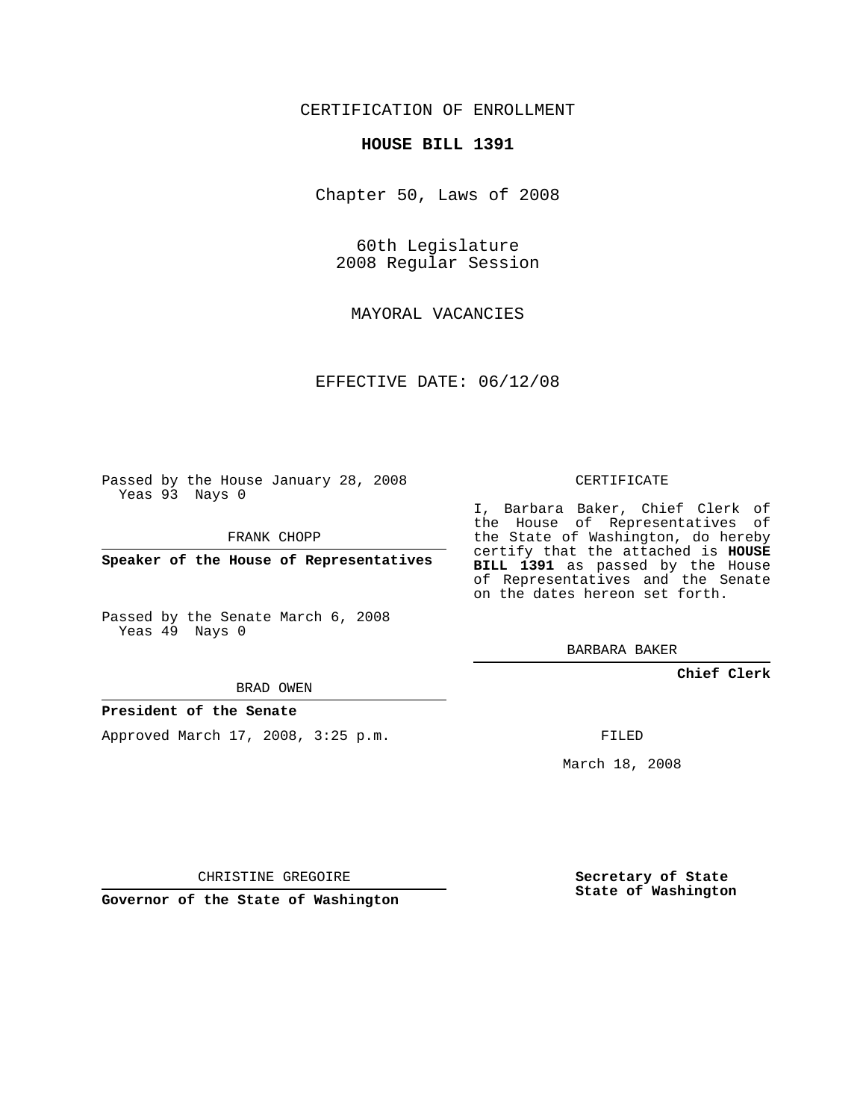## CERTIFICATION OF ENROLLMENT

#### **HOUSE BILL 1391**

Chapter 50, Laws of 2008

60th Legislature 2008 Regular Session

MAYORAL VACANCIES

EFFECTIVE DATE: 06/12/08

Passed by the House January 28, 2008 Yeas 93 Nays 0

FRANK CHOPP

**Speaker of the House of Representatives**

Passed by the Senate March 6, 2008 Yeas 49 Nays 0

# I, Barbara Baker, Chief Clerk of

the House of Representatives of the State of Washington, do hereby certify that the attached is **HOUSE BILL 1391** as passed by the House of Representatives and the Senate on the dates hereon set forth.

CERTIFICATE

BARBARA BAKER

**Chief Clerk**

#### BRAD OWEN

### **President of the Senate**

Approved March 17, 2008, 3:25 p.m.

FILED

March 18, 2008

CHRISTINE GREGOIRE

**Governor of the State of Washington**

**Secretary of State State of Washington**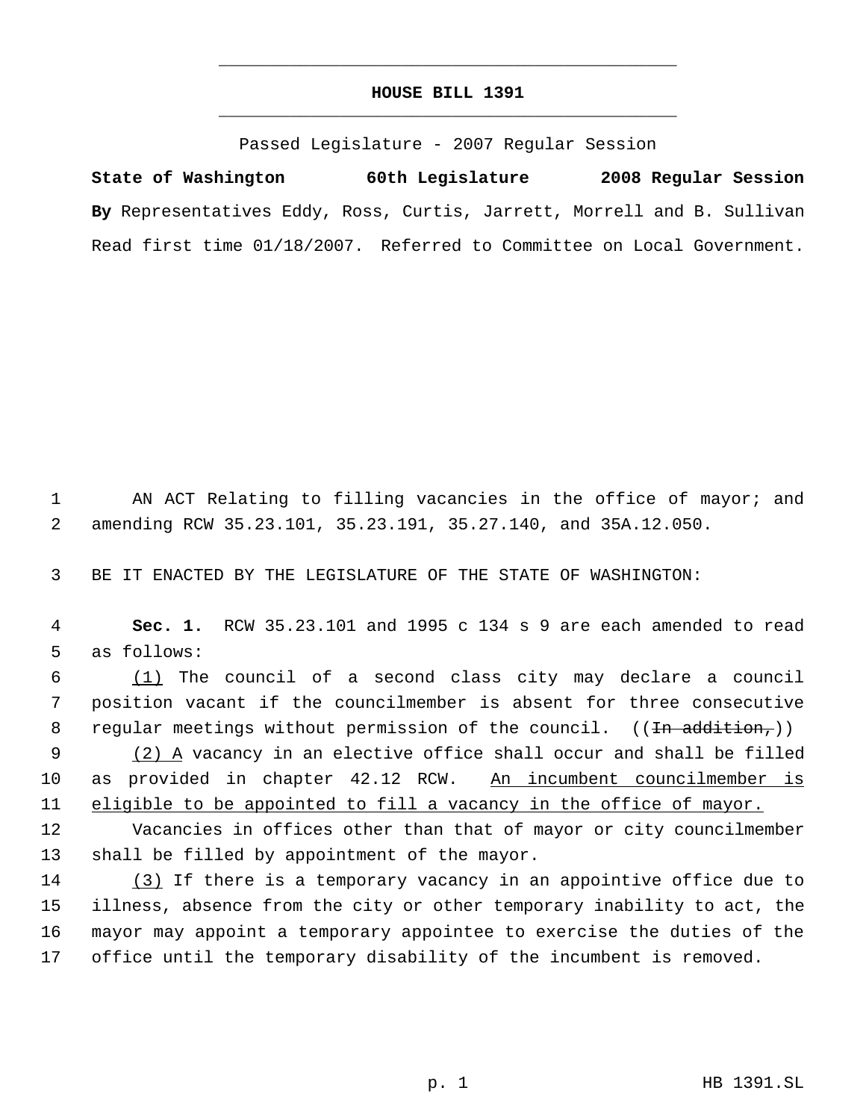## **HOUSE BILL 1391** \_\_\_\_\_\_\_\_\_\_\_\_\_\_\_\_\_\_\_\_\_\_\_\_\_\_\_\_\_\_\_\_\_\_\_\_\_\_\_\_\_\_\_\_\_

\_\_\_\_\_\_\_\_\_\_\_\_\_\_\_\_\_\_\_\_\_\_\_\_\_\_\_\_\_\_\_\_\_\_\_\_\_\_\_\_\_\_\_\_\_

Passed Legislature - 2007 Regular Session

**State of Washington 60th Legislature 2008 Regular Session By** Representatives Eddy, Ross, Curtis, Jarrett, Morrell and B. Sullivan Read first time 01/18/2007. Referred to Committee on Local Government.

1 AN ACT Relating to filling vacancies in the office of mayor; and 2 amending RCW 35.23.101, 35.23.191, 35.27.140, and 35A.12.050.

3 BE IT ENACTED BY THE LEGISLATURE OF THE STATE OF WASHINGTON:

 4 **Sec. 1.** RCW 35.23.101 and 1995 c 134 s 9 are each amended to read 5 as follows:

 6 (1) The council of a second class city may declare a council 7 position vacant if the councilmember is absent for three consecutive 8 regular meetings without permission of the council.  $((\text{In addition},))$ 

9 (2) A vacancy in an elective office shall occur and shall be filled 10 as provided in chapter 42.12 RCW. An incumbent councilmember is 11 eligible to be appointed to fill a vacancy in the office of mayor.

12 Vacancies in offices other than that of mayor or city councilmember 13 shall be filled by appointment of the mayor.

14 (3) If there is a temporary vacancy in an appointive office due to illness, absence from the city or other temporary inability to act, the mayor may appoint a temporary appointee to exercise the duties of the office until the temporary disability of the incumbent is removed.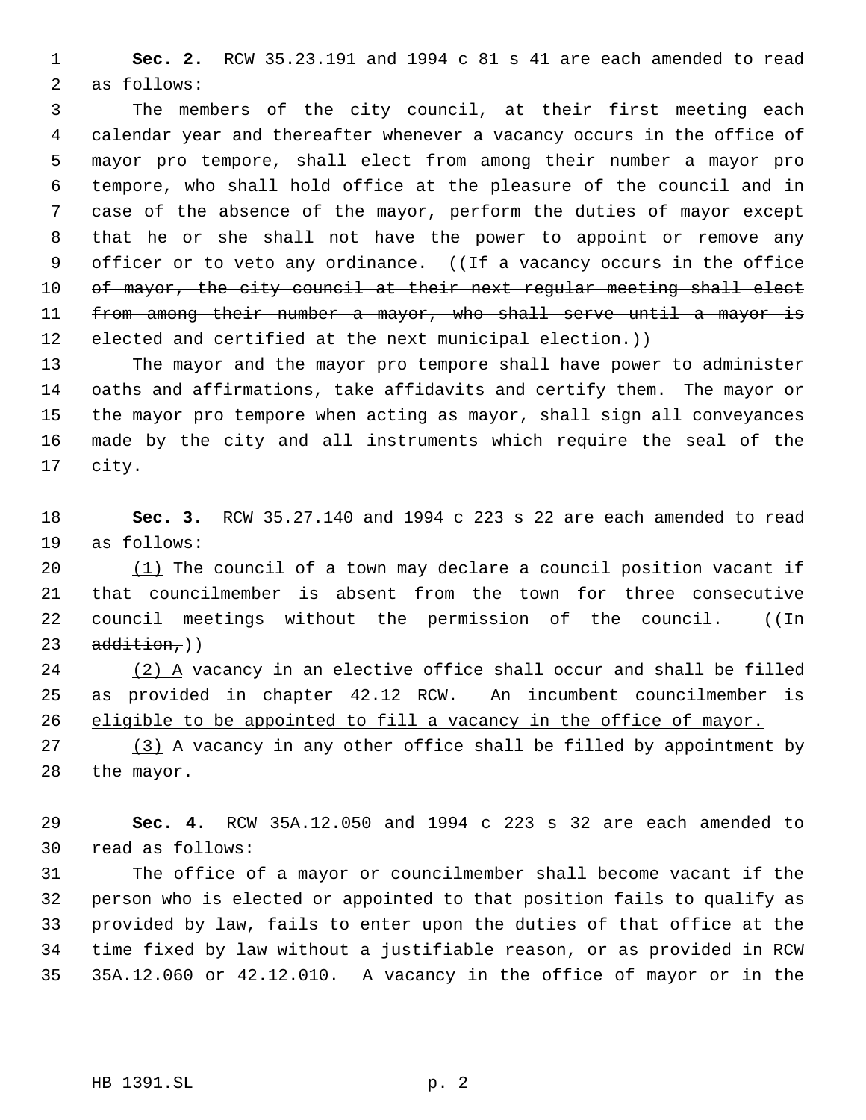**Sec. 2.** RCW 35.23.191 and 1994 c 81 s 41 are each amended to read as follows:

 The members of the city council, at their first meeting each calendar year and thereafter whenever a vacancy occurs in the office of mayor pro tempore, shall elect from among their number a mayor pro tempore, who shall hold office at the pleasure of the council and in case of the absence of the mayor, perform the duties of mayor except that he or she shall not have the power to appoint or remove any 9 officer or to veto any ordinance. ((<del>If a vacancy occurs in the office</del> 10 of mayor, the city council at their next regular meeting shall elect 11 from among their number a mayor, who shall serve until a mayor is 12 elected and certified at the next municipal election.))

 The mayor and the mayor pro tempore shall have power to administer oaths and affirmations, take affidavits and certify them. The mayor or the mayor pro tempore when acting as mayor, shall sign all conveyances made by the city and all instruments which require the seal of the city.

 **Sec. 3.** RCW 35.27.140 and 1994 c 223 s 22 are each amended to read as follows:

 (1) The council of a town may declare a council position vacant if that councilmember is absent from the town for three consecutive 22 council meetings without the permission of the council.  $((\text{Im}$ addition,  $)$ 

 (2) A vacancy in an elective office shall occur and shall be filled 25 as provided in chapter 42.12 RCW. An incumbent councilmember is 26 eligible to be appointed to fill a vacancy in the office of mayor.

27 (3) A vacancy in any other office shall be filled by appointment by the mayor.

 **Sec. 4.** RCW 35A.12.050 and 1994 c 223 s 32 are each amended to read as follows:

 The office of a mayor or councilmember shall become vacant if the person who is elected or appointed to that position fails to qualify as provided by law, fails to enter upon the duties of that office at the time fixed by law without a justifiable reason, or as provided in RCW 35A.12.060 or 42.12.010. A vacancy in the office of mayor or in the